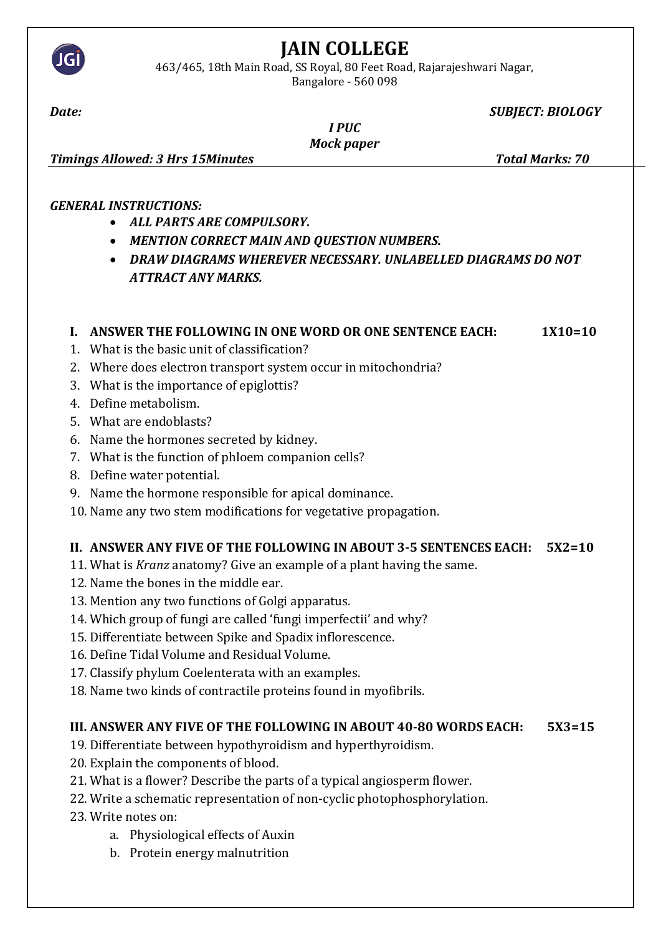

# **JAIN COLLEGE**

463/465, 18th Main Road, SS Royal, 80 Feet Road, Rajarajeshwari Nagar, Bangalore - 560 098

*Date: SUBJECT: BIOLOGY*

| <b>PIIC</b> |
|-------------|
|             |

*Mock paper* 

*Timings Allowed: 3 Hrs 15Minutes Total Marks: 70*

#### *GENERAL INSTRUCTIONS:*

- *ALL PARTS ARE COMPULSORY.*
- *MENTION CORRECT MAIN AND QUESTION NUMBERS.*
- *DRAW DIAGRAMS WHEREVER NECESSARY. UNLABELLED DIAGRAMS DO NOT ATTRACT ANY MARKS.*

### **I. ANSWER THE FOLLOWING IN ONE WORD OR ONE SENTENCE EACH: 1X10=10**

- 1. What is the basic unit of classification?
- 2. Where does electron transport system occur in mitochondria?
- 3. What is the importance of epiglottis?
- 4. Define metabolism.
- 5. What are endoblasts?
- 6. Name the hormones secreted by kidney.
- 7. What is the function of phloem companion cells?
- 8. Define water potential.
- 9. Name the hormone responsible for apical dominance.
- 10. Name any two stem modifications for vegetative propagation.

### **II. ANSWER ANY FIVE OF THE FOLLOWING IN ABOUT 3-5 SENTENCES EACH: 5X2=10**

- 11. What is *Kranz* anatomy? Give an example of a plant having the same.
- 12. Name the bones in the middle ear.
- 13. Mention any two functions of Golgi apparatus.
- 14. Which group of fungi are called 'fungi imperfectii' and why?
- 15. Differentiate between Spike and Spadix inflorescence.
- 16. Define Tidal Volume and Residual Volume.
- 17. Classify phylum Coelenterata with an examples.
- 18. Name two kinds of contractile proteins found in myofibrils.

### **III. ANSWER ANY FIVE OF THE FOLLOWING IN ABOUT 40-80 WORDS EACH: 5X3=15**

- 19. Differentiate between hypothyroidism and hyperthyroidism.
- 20. Explain the components of blood.
- 21. What is a flower? Describe the parts of a typical angiosperm flower.
- 22. Write a schematic representation of non-cyclic photophosphorylation.
- 23. Write notes on:
	- a. Physiological effects of Auxin
	- b. Protein energy malnutrition